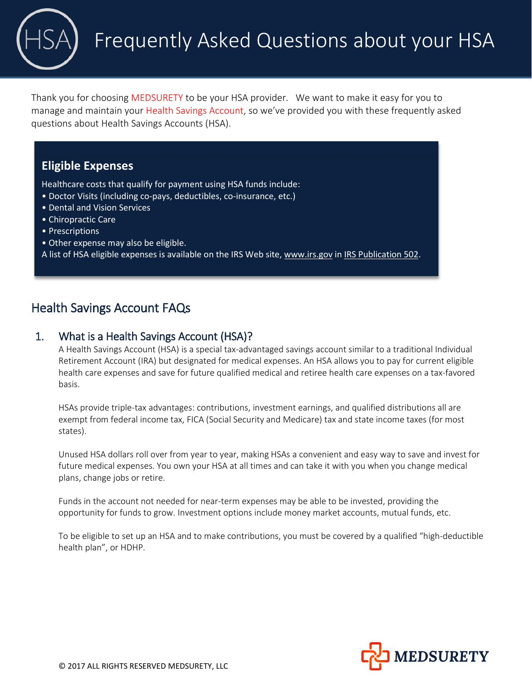Thank you for choosing MEDSURETY to be your HSA provider. We want to make it easy for you to manage and maintain your Health Savings Account, so we've provided you with these frequently asked questions about Health Savings Accounts (HSA).

# **Eligible Expenses**

Healthcare costs that qualify for payment using HSA funds include:

- Doctor Visits (including co-pays, deductibles, co-insurance, etc.)
- Dental and Vision Services
- Chiropractic Care
- Prescriptions
- Other expense may also be eligible.
- A list of HSA eligible expenses is available on the IRS Web site, www.irs.gov in [IRS Publication 502.](http://www.irs.gov/publications/p502/index.html)

# Health Savings Account FAQs

### 1. What is a Health Savings Account (HSA)?

A Health Savings Account (HSA) is a special tax-advantaged savings account similar to a traditional Individual Retirement Account (IRA) but designated for medical expenses. An HSA allows you to pay for current eligible health care expenses and save for future qualified medical and retiree health care expenses on a tax-favored basis.

HSAs provide triple-tax advantages: contributions, investment earnings, and qualified distributions all are exempt from federal income tax, FICA (Social Security and Medicare) tax and state income taxes (for most states).

Unused HSA dollars roll over from year to year, making HSAs a convenient and easy way to save and invest for future medical expenses. You own your HSA at all times and can take it with you when you change medical plans, change jobs or retire.

Funds in the account not needed for near-term expenses may be able to be invested, providing the opportunity for funds to grow. Investment options include money market accounts, mutual funds, etc.

To be eligible to set up an HSA and to make contributions, you must be covered by a qualified "high-deductible health plan", or HDHP.

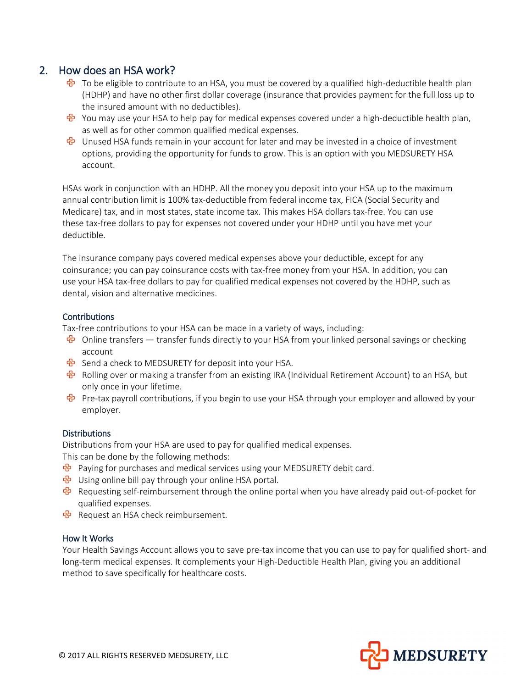### 2. How does an HSA work?

- $\frac{R}{2}$  To be eligible to contribute to an HSA, you must be covered by a qualified high-deductible health plan (HDHP) and have no other first dollar coverage (insurance that provides payment for the full loss up to the insured amount with no deductibles).
- **E** You may use your HSA to help pay for medical expenses covered under a high-deductible health plan, as well as for other common qualified medical expenses.
- **B** Unused HSA funds remain in your account for later and may be invested in a choice of investment options, providing the opportunity for funds to grow. This is an option with you MEDSURETY HSA account.

HSAs work in conjunction with an HDHP. All the money you deposit into your HSA up to the maximum annual contribution limit is 100% tax-deductible from federal income tax, FICA (Social Security and Medicare) tax, and in most states, state income tax. This makes HSA dollars tax-free. You can use these tax-free dollars to pay for expenses not covered under your HDHP until you have met your deductible.

The insurance company pays covered medical expenses above your deductible, except for any coinsurance; you can pay coinsurance costs with tax-free money from your HSA. In addition, you can use your HSA tax-free dollars to pay for qualified medical expenses not covered by the HDHP, such as dental, vision and alternative medicines.

#### **Contributions**

Tax-free contributions to your HSA can be made in a variety of ways, including:

- **B** Online transfers transfer funds directly to your HSA from your linked personal savings or checking account
- $\frac{1}{10}$  Send a check to MEDSURETY for deposit into your HSA.
- $\frac{R}{2}$  Rolling over or making a transfer from an existing IRA (Individual Retirement Account) to an HSA, but only once in your lifetime.
- **B** Pre-tax payroll contributions, if you begin to use your HSA through your employer and allowed by your employer.

#### **Distributions**

Distributions from your HSA are used to pay for qualified medical expenses.

This can be done by the following methods:

- Paying for purchases and medical services using your MEDSURETY debit card.
- Using online bill pay through your online HSA portal.
- Requesting self-reimbursement through the online portal when you have already paid out-of-pocket for qualified expenses.
- **B** Request an HSA check reimbursement.

#### How It Works

Your Health Savings Account allows you to save pre-tax income that you can use to pay for qualified short- and long-term medical expenses. It complements your High-Deductible Health Plan, giving you an additional method to save specifically for healthcare costs.

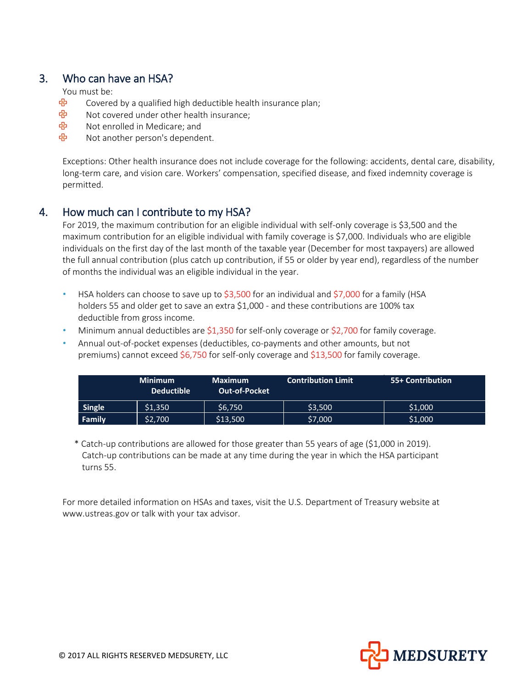# 3. Who can have an HSA?

You must be:

- ඇ Covered by a qualified high deductible health insurance plan;
- ඇ Not covered under other health insurance;
- ඇ Not enrolled in Medicare; and
- ඇ Not another person's dependent.

Exceptions: Other health insurance does not include coverage for the following: accidents, dental care, disability, long-term care, and vision care. Workers' compensation, specified disease, and fixed indemnity coverage is permitted.

# 4. How much can I contribute to my HSA?

For 2019, the maximum contribution for an eligible individual with self-only coverage is \$3,500 and the maximum contribution for an eligible individual with family coverage is \$7,000. Individuals who are eligible individuals on the first day of the last month of the taxable year (December for most taxpayers) are allowed the full annual contribution (plus catch up contribution, if 55 or older by year end), regardless of the number of months the individual was an eligible individual in the year.

- HSA holders can choose to save up to \$3,500 for an individual and \$7,000 for a family (HSA holders 55 and older get to save an extra \$1,000 - and these contributions are 100% tax deductible from gross income.
- Minimum annual deductibles are \$1,350 for self-only coverage or \$2,700 for family coverage.
- Annual out-of-pocket expenses (deductibles, co-payments and other amounts, but not premiums) cannot exceed \$6,750 for self-only coverage and  $$13,500$  for family coverage.

|               | <b>Minimum</b><br><b>Deductible</b> | <b>Maximum</b><br><b>Out-of-Pocket</b> | <b>Contribution Limit</b> | 55+ Contribution |
|---------------|-------------------------------------|----------------------------------------|---------------------------|------------------|
| <b>Single</b> | \$1,350                             | \$6,750                                | \$3,500                   | \$1,000          |
| Family        | \$2,700                             | \$13,500                               | \$7,000                   | \$1,000          |

\* Catch-up contributions are allowed for those greater than 55 years of age (\$1,000 in 2019). Catch-up contributions can be made at any time during the year in which the HSA participant turns 55.

For more detailed information on HSAs and taxes, visit the U.S. Department of Treasury website at www.ustreas.gov or talk with your tax advisor.

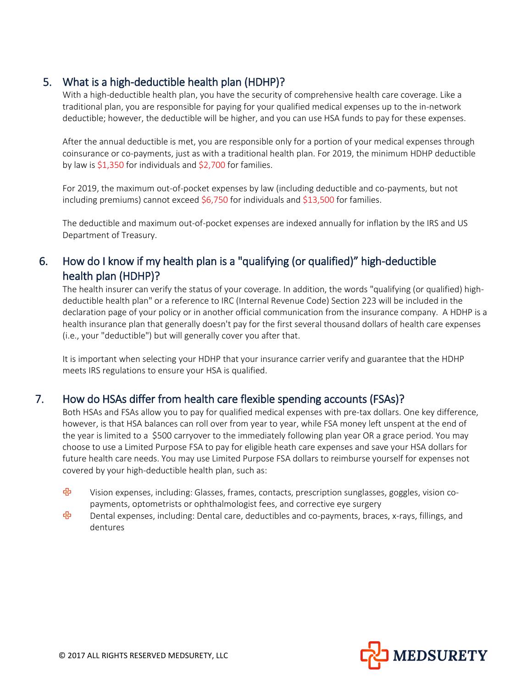# 5. What is a high-deductible health plan (HDHP)?

With a high-deductible health plan, you have the security of comprehensive health care coverage. Like a traditional plan, you are responsible for paying for your qualified medical expenses up to the in-network deductible; however, the deductible will be higher, and you can use HSA funds to pay for these expenses.

After the annual deductible is met, you are responsible only for a portion of your medical expenses through coinsurance or co-payments, just as with a traditional health plan. For 2019, the minimum HDHP deductible by law is \$1,350 for individuals and \$2,700 for families.

For 2019, the maximum out-of-pocket expenses by law (including deductible and co-payments, but not including premiums) cannot exceed  $$6,750$  for individuals and  $$13,500$  for families.

The deductible and maximum out-of-pocket expenses are indexed annually for inflation by the IRS and US Department of Treasury.

# 6. How do I know if my health plan is a "qualifying (or qualified)" high-deductible health plan (HDHP)?

The health insurer can verify the status of your coverage. In addition, the words "qualifying (or qualified) highdeductible health plan" or a reference to IRC (Internal Revenue Code) Section 223 will be included in the declaration page of your policy or in another official communication from the insurance company. A HDHP is a health insurance plan that generally doesn't pay for the first several thousand dollars of health care expenses (i.e., your "deductible") but will generally cover you after that.

It is important when selecting your HDHP that your insurance carrier verify and guarantee that the HDHP meets IRS regulations to ensure your HSA is qualified.

### 7. How do HSAs differ from health care flexible spending accounts (FSAs)?

Both HSAs and FSAs allow you to pay for qualified medical expenses with pre-tax dollars. One key difference, however, is that HSA balances can roll over from year to year, while FSA money left unspent at the end of the year is limited to a \$500 carryover to the immediately following plan year OR a grace period. You may choose to use a Limited Purpose FSA to pay for eligible heath care expenses and save your HSA dollars for future health care needs. You may use Limited Purpose FSA dollars to reimburse yourself for expenses not covered by your high-deductible health plan, such as:

- ඇ Vision expenses, including: Glasses, frames, contacts, prescription sunglasses, goggles, vision copayments, optometrists or ophthalmologist fees, and corrective eye surgery
- ඇ Dental expenses, including: Dental care, deductibles and co-payments, braces, x-rays, fillings, and dentures

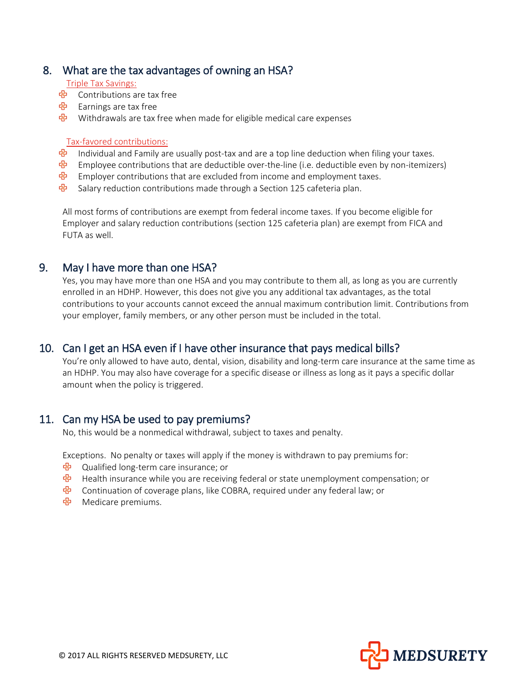### 8. What are the tax advantages of owning an HSA?

#### Triple Tax Savings:

- Contributions are tax free
- Earnings are tax free
- $\frac{1}{10}$  Withdrawals are tax free when made for eligible medical care expenses

#### Tax-favored contributions:

- $\overline{B}$  Individual and Family are usually post-tax and are a top line deduction when filing your taxes.
- $\overline{\mathbf{B}}$  Employee contributions that are deductible over-the-line (i.e. deductible even by non-itemizers)
- <sup>d</sup> Employer contributions that are excluded from income and employment taxes.
- **<sup>&</sup>** Salary reduction contributions made through a Section 125 cafeteria plan.

All most forms of contributions are exempt from federal income taxes. If you become eligible for Employer and salary reduction contributions (section 125 cafeteria plan) are exempt from FICA and FUTA as well.

### 9. May I have more than one HSA?

Yes, you may have more than one HSA and you may contribute to them all, as long as you are currently enrolled in an HDHP. However, this does not give you any additional tax advantages, as the total contributions to your accounts cannot exceed the annual maximum contribution limit. Contributions from your employer, family members, or any other person must be included in the total.

# 10. Can I get an HSA even if I have other insurance that pays medical bills?

You're only allowed to have auto, dental, vision, disability and long-term care insurance at the same time as an HDHP. You may also have coverage for a specific disease or illness as long as it pays a specific dollar amount when the policy is triggered.

### 11. Can my HSA be used to pay premiums?

No, this would be a nonmedical withdrawal, subject to taxes and penalty.

Exceptions. No penalty or taxes will apply if the money is withdrawn to pay premiums for:

- $\frac{R}{2}$  Qualified long-term care insurance; or
- <sup>中</sup> Health insurance while you are receiving federal or state unemployment compensation; or
- **E** Continuation of coverage plans, like COBRA, required under any federal law; or
- Medicare premiums.

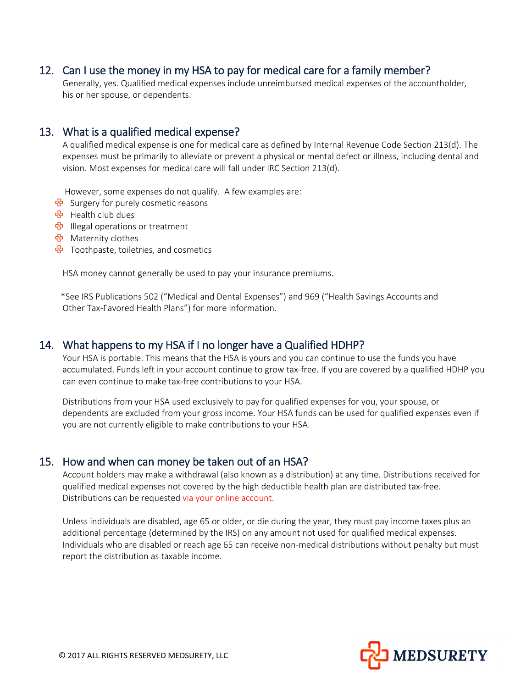### 12. Can I use the money in my HSA to pay for medical care for a family member?

Generally, yes. Qualified medical expenses include unreimbursed medical expenses of the accountholder, his or her spouse, or dependents.

### 13. What is a qualified medical expense?

A qualified medical expense is one for medical care as defined by Internal Revenue Code Section 213(d). The expenses must be primarily to alleviate or prevent a physical or mental defect or illness, including dental and vision. Most expenses for medical care will fall under IRC Section 213(d).

However, some expenses do not qualify. A few examples are:

- **<sup></sup>B** Surgery for purely cosmetic reasons
- 국 Health club dues
- **한** Illegal operations or treatment
- Maternity clothes
- $\frac{1}{10}$  Toothpaste, toiletries, and cosmetics

HSA money cannot generally be used to pay your insurance premiums.

\*See IRS Publications 502 ("Medical and Dental Expenses") and 969 ("Health Savings Accounts and Other Tax-Favored Health Plans") for more information.

### 14. What happens to my HSA if I no longer have a Qualified HDHP?

Your HSA is portable. This means that the HSA is yours and you can continue to use the funds you have accumulated. Funds left in your account continue to grow tax-free. If you are covered by a qualified HDHP you can even continue to make tax-free contributions to your HSA.

Distributions from your HSA used exclusively to pay for qualified expenses for you, your spouse, or dependents are excluded from your gross income. Your HSA funds can be used for qualified expenses even if you are not currently eligible to make contributions to your HSA.

### 15. How and when can money be taken out of an HSA?

Account holders may make a withdrawal (also known as a distribution) at any time. Distributions received for qualified medical expenses not covered by the high deductible health plan are distributed tax-free. Distributions can be requested via your online account.

Unless individuals are disabled, age 65 or older, or die during the year, they must pay income taxes plus an additional percentage (determined by the IRS) on any amount not used for qualified medical expenses. Individuals who are disabled or reach age 65 can receive non-medical distributions without penalty but must report the distribution as taxable income.